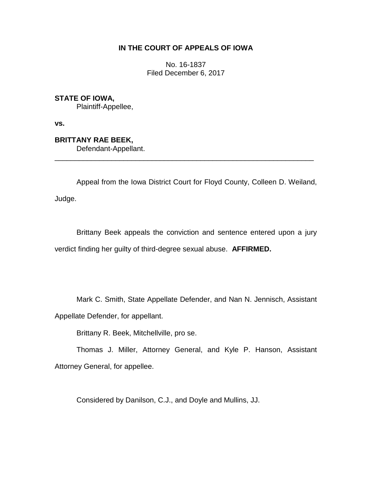# **IN THE COURT OF APPEALS OF IOWA**

No. 16-1837 Filed December 6, 2017

**STATE OF IOWA,**

Plaintiff-Appellee,

**vs.**

**BRITTANY RAE BEEK,** Defendant-Appellant.

Appeal from the Iowa District Court for Floyd County, Colleen D. Weiland, Judge.

\_\_\_\_\_\_\_\_\_\_\_\_\_\_\_\_\_\_\_\_\_\_\_\_\_\_\_\_\_\_\_\_\_\_\_\_\_\_\_\_\_\_\_\_\_\_\_\_\_\_\_\_\_\_\_\_\_\_\_\_\_\_\_\_

Brittany Beek appeals the conviction and sentence entered upon a jury verdict finding her guilty of third-degree sexual abuse. **AFFIRMED.**

Mark C. Smith, State Appellate Defender, and Nan N. Jennisch, Assistant

Appellate Defender, for appellant.

Brittany R. Beek, Mitchellville, pro se.

Thomas J. Miller, Attorney General, and Kyle P. Hanson, Assistant Attorney General, for appellee.

Considered by Danilson, C.J., and Doyle and Mullins, JJ.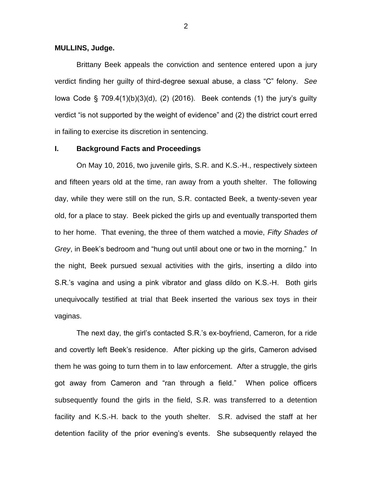**MULLINS, Judge.**

Brittany Beek appeals the conviction and sentence entered upon a jury verdict finding her guilty of third-degree sexual abuse, a class "C" felony. *See* Iowa Code  $\S$  709.4(1)(b)(3)(d), (2) (2016). Beek contends (1) the jury's guilty verdict "is not supported by the weight of evidence" and (2) the district court erred in failing to exercise its discretion in sentencing.

## **I. Background Facts and Proceedings**

On May 10, 2016, two juvenile girls, S.R. and K.S.-H., respectively sixteen and fifteen years old at the time, ran away from a youth shelter. The following day, while they were still on the run, S.R. contacted Beek, a twenty-seven year old, for a place to stay. Beek picked the girls up and eventually transported them to her home. That evening, the three of them watched a movie, *Fifty Shades of Grey*, in Beek's bedroom and "hung out until about one or two in the morning." In the night, Beek pursued sexual activities with the girls, inserting a dildo into S.R.'s vagina and using a pink vibrator and glass dildo on K.S.-H. Both girls unequivocally testified at trial that Beek inserted the various sex toys in their vaginas.

The next day, the girl's contacted S.R.'s ex-boyfriend, Cameron, for a ride and covertly left Beek's residence. After picking up the girls, Cameron advised them he was going to turn them in to law enforcement. After a struggle, the girls got away from Cameron and "ran through a field." When police officers subsequently found the girls in the field, S.R. was transferred to a detention facility and K.S.-H. back to the youth shelter. S.R. advised the staff at her detention facility of the prior evening's events. She subsequently relayed the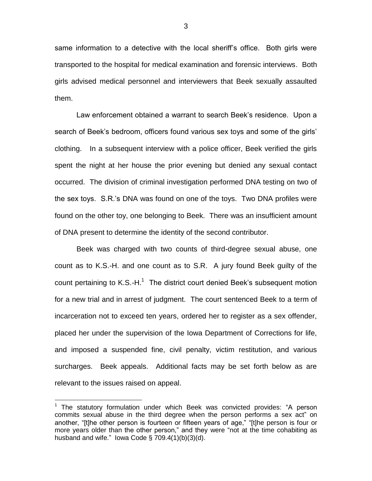same information to a detective with the local sheriff's office. Both girls were transported to the hospital for medical examination and forensic interviews. Both girls advised medical personnel and interviewers that Beek sexually assaulted them.

Law enforcement obtained a warrant to search Beek's residence. Upon a search of Beek's bedroom, officers found various sex toys and some of the girls' clothing. In a subsequent interview with a police officer, Beek verified the girls spent the night at her house the prior evening but denied any sexual contact occurred. The division of criminal investigation performed DNA testing on two of the sex toys. S.R.'s DNA was found on one of the toys. Two DNA profiles were found on the other toy, one belonging to Beek. There was an insufficient amount of DNA present to determine the identity of the second contributor.

Beek was charged with two counts of third-degree sexual abuse, one count as to K.S.-H. and one count as to S.R. A jury found Beek guilty of the count pertaining to K.S.-H. $^1$  The district court denied Beek's subsequent motion for a new trial and in arrest of judgment. The court sentenced Beek to a term of incarceration not to exceed ten years, ordered her to register as a sex offender, placed her under the supervision of the Iowa Department of Corrections for life, and imposed a suspended fine, civil penalty, victim restitution, and various surcharges. Beek appeals. Additional facts may be set forth below as are relevant to the issues raised on appeal.

 $\overline{a}$ 

 $1$  The statutory formulation under which Beek was convicted provides: "A person commits sexual abuse in the third degree when the person performs a sex act" on another, "[t]he other person is fourteen or fifteen years of age," "[t]he person is four or more years older than the other person," and they were "not at the time cohabiting as husband and wife." Iowa Code § 709.4(1)(b)(3)(d).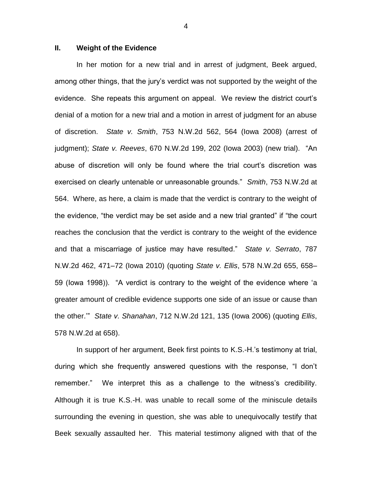## **II. Weight of the Evidence**

In her motion for a new trial and in arrest of judgment, Beek argued, among other things, that the jury's verdict was not supported by the weight of the evidence. She repeats this argument on appeal. We review the district court's denial of a motion for a new trial and a motion in arrest of judgment for an abuse of discretion. *State v. Smith*, 753 N.W.2d 562, 564 (Iowa 2008) (arrest of judgment); *State v. Reeves*, 670 N.W.2d 199, 202 (Iowa 2003) (new trial). "An abuse of discretion will only be found where the trial court's discretion was exercised on clearly untenable or unreasonable grounds." *Smith*, 753 N.W.2d at 564. Where, as here, a claim is made that the verdict is contrary to the weight of the evidence, "the verdict may be set aside and a new trial granted" if "the court reaches the conclusion that the verdict is contrary to the weight of the evidence and that a miscarriage of justice may have resulted." *State v. Serrato*, 787 N.W.2d 462, 471–72 (Iowa 2010) (quoting *State v. Ellis*, 578 N.W.2d 655, 658– 59 (Iowa 1998)). "A verdict is contrary to the weight of the evidence where 'a greater amount of credible evidence supports one side of an issue or cause than the other.'" *State v. Shanahan*, 712 N.W.2d 121, 135 (Iowa 2006) (quoting *Ellis*, 578 N.W.2d at 658).

In support of her argument, Beek first points to K.S.-H.'s testimony at trial, during which she frequently answered questions with the response, "I don't remember." We interpret this as a challenge to the witness's credibility. Although it is true K.S.-H. was unable to recall some of the miniscule details surrounding the evening in question, she was able to unequivocally testify that Beek sexually assaulted her. This material testimony aligned with that of the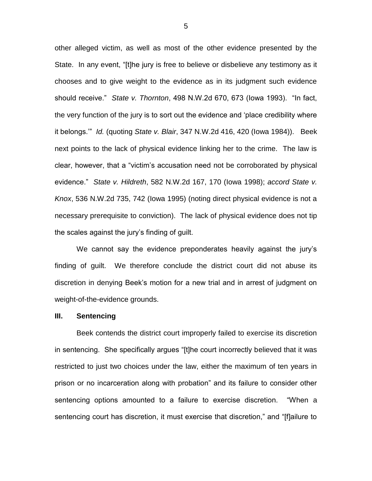other alleged victim, as well as most of the other evidence presented by the State. In any event, "[t]he jury is free to believe or disbelieve any testimony as it chooses and to give weight to the evidence as in its judgment such evidence should receive." *State v. Thornton*, 498 N.W.2d 670, 673 (Iowa 1993). "In fact, the very function of the jury is to sort out the evidence and 'place credibility where it belongs.'" *Id.* (quoting *State v. Blair*, 347 N.W.2d 416, 420 (Iowa 1984)). Beek next points to the lack of physical evidence linking her to the crime. The law is clear, however, that a "victim's accusation need not be corroborated by physical evidence." *State v. Hildreth*, 582 N.W.2d 167, 170 (Iowa 1998); *accord State v. Knox*, 536 N.W.2d 735, 742 (Iowa 1995) (noting direct physical evidence is not a necessary prerequisite to conviction). The lack of physical evidence does not tip the scales against the jury's finding of guilt.

We cannot say the evidence preponderates heavily against the jury's finding of guilt. We therefore conclude the district court did not abuse its discretion in denying Beek's motion for a new trial and in arrest of judgment on weight-of-the-evidence grounds.

#### **III. Sentencing**

Beek contends the district court improperly failed to exercise its discretion in sentencing. She specifically argues "[t]he court incorrectly believed that it was restricted to just two choices under the law, either the maximum of ten years in prison or no incarceration along with probation" and its failure to consider other sentencing options amounted to a failure to exercise discretion. "When a sentencing court has discretion, it must exercise that discretion," and "[f]ailure to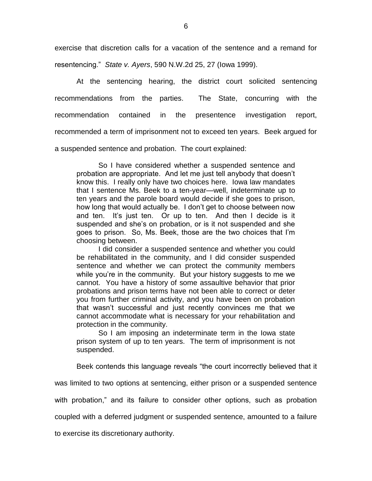exercise that discretion calls for a vacation of the sentence and a remand for resentencing." *State v. Ayers*, 590 N.W.2d 25, 27 (Iowa 1999).

At the sentencing hearing, the district court solicited sentencing recommendations from the parties. The State, concurring with the recommendation contained in the presentence investigation report, recommended a term of imprisonment not to exceed ten years. Beek argued for a suspended sentence and probation. The court explained:

So I have considered whether a suspended sentence and probation are appropriate. And let me just tell anybody that doesn't know this. I really only have two choices here. Iowa law mandates that I sentence Ms. Beek to a ten-year—well, indeterminate up to ten years and the parole board would decide if she goes to prison, how long that would actually be. I don't get to choose between now and ten. It's just ten. Or up to ten. And then I decide is it suspended and she's on probation, or is it not suspended and she goes to prison. So, Ms. Beek, those are the two choices that I'm choosing between.

I did consider a suspended sentence and whether you could be rehabilitated in the community, and I did consider suspended sentence and whether we can protect the community members while you're in the community. But your history suggests to me we cannot. You have a history of some assaultive behavior that prior probations and prison terms have not been able to correct or deter you from further criminal activity, and you have been on probation that wasn't successful and just recently convinces me that we cannot accommodate what is necessary for your rehabilitation and protection in the community.

So I am imposing an indeterminate term in the Iowa state prison system of up to ten years. The term of imprisonment is not suspended.

Beek contends this language reveals "the court incorrectly believed that it

was limited to two options at sentencing, either prison or a suspended sentence

with probation," and its failure to consider other options, such as probation

coupled with a deferred judgment or suspended sentence, amounted to a failure

to exercise its discretionary authority.